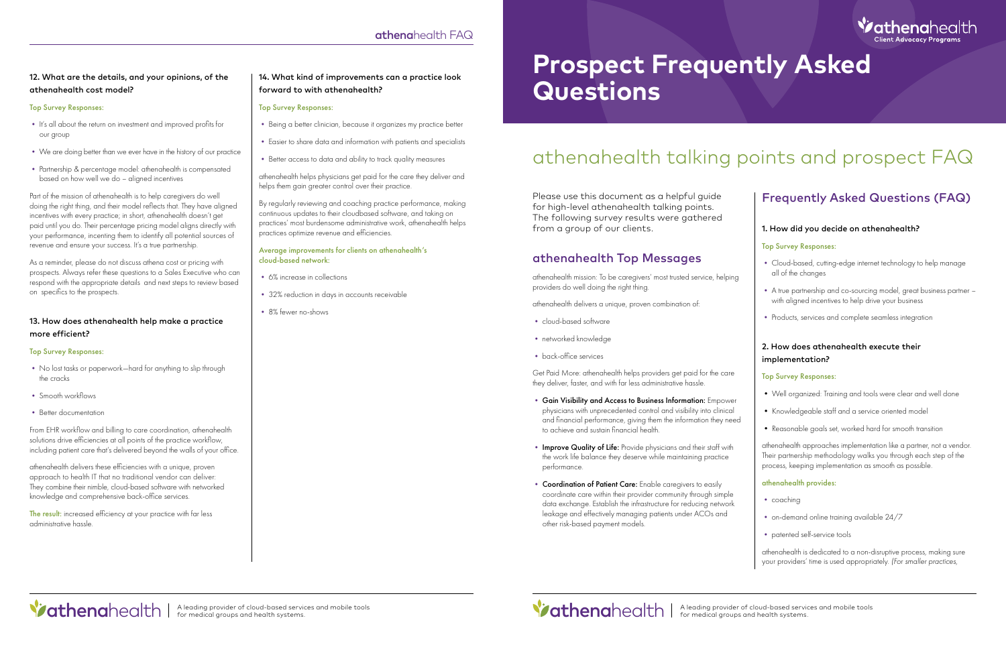# **Prospect Frequently Asked Questions**

Please use this document as a helpful guide for high-level athenahealth talking points. The following survey results were gathered from a group of our clients.

# athenahealth Top Messages

athenahealth mission: To be caregivers' most trusted service, helping providers do well doing the right thing.

athenahealth delivers a unique, proven combination of:

- cloud-based software
- networked knowledge
- back-office services

Get Paid More: athenahealth helps providers get paid for the care they deliver, faster, and with far less administrative hassle.

- Gain Visibility and Access to Business Information: Empower physicians with unprecedented control and visibility into clinical and financial performance, giving them the information they need to achieve and sustain financial health.
- Improve Quality of Life: Provide physicians and their staff with the work life balance they deserve while maintaining practice performance.
- Coordination of Patient Care: Enable caregivers to easily coordinate care within their provider community through simple data exchange. Establish the infrastructure for reducing network leakage and effectively managing patients under ACOs and other risk-based payment models.



# Frequently Asked Questions (FAQ)

### 1. How did you decide on athenahealth?

#### Top Survey Responses:

- Cloud-based, cutting-edge internet technology to help manage all of the changes
- A true partnership and co-sourcing model, great business partner with aligned incentives to help drive your business
- Products, services and complete seamless integration

# 2. How does athenahealth execute their implementation?

#### Top Survey Responses:

- Well organized: Training and tools were clear and well done
- Knowledgeable staff and a service oriented model
- Reasonable goals set, worked hard for smooth transition

athenahealth approaches implementation like a partner, not a vendor. Their partnership methodology walks you through each step of the process, keeping implementation as smooth as possible.

#### athenahealth provides:

- coaching
- on-demand online training available 24/7
- patented self-service tools

The result: increased efficiency at your practice with far less administrative hassle.

> athenahealth is dedicated to a non-disruptive process, making sure your providers' time is used appropriately. *(For smaller practices,*

# athenahealth talking points and prospect FAQ

# 12. What are the details, and your opinions, of the athenahealth cost model?

## Top Survey Responses:

- It's all about the return on investment and improved profits for our group
- We are doing better than we ever have in the history of our practice
- Partnership & percentage model: athenahealth is compensated based on how well we do – aligned incentives

Part of the mission of athenahealth is to help caregivers do well doing the right thing, and their model reflects that. They have aligned incentives with every practice; in short, athenahealth doesn't get paid until you do. Their percentage pricing model aligns directly with your performance, incenting them to identify all potential sources of revenue and ensure your success. It's a true partnership.

As a reminder, please do not discuss athena cost or pricing with prospects. Always refer these questions to a Sales Executive who can respond with the appropriate details and next steps to review based on specifics to the prospects.

## 13. How does athenahealth help make a practice more efficient?

#### Top Survey Responses:

- No lost tasks or paperwork—hard for anything to slip through the cracks
- Smooth workflows
- Better documentation

From EHR workflow and billing to care coordination, athenahealth solutions drive efficiencies at all points of the practice workflow, including patient care that's delivered beyond the walls of your office.

athenahealth delivers these efficiencies with a unique, proven approach to health IT that no traditional vendor can deliver: They combine their nimble, cloud-based software with networked knowledge and comprehensive back-office services.

# 14. What kind of improvements can a practice look forward to with athenahealth?

#### Top Survey Responses:

- Being a better clinician, because it organizes my practice better
- Easier to share data and information with patients and specialists
- Better access to data and ability to track quality measures

athenahealth helps physicians get paid for the care they deliver and helps them gain greater control over their practice.

By regularly reviewing and coaching practice performance, making continuous updates to their cloudbased software, and taking on practices' most burdensome administrative work, athenahealth helps practices optimize revenue and efficiencies.

#### Average improvements for clients on athenahealth's cloud-based network:

- 6% increase in collections
- 32% reduction in days in accounts receivable
- 8% fewer no-shows